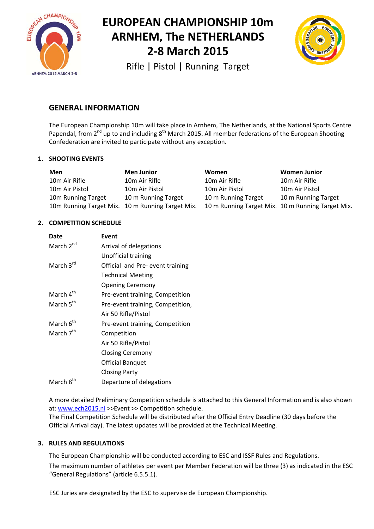



Rifle | Pistol | Running Target

# **GENERAL INFORMATION**

The European Championship 10m will take place in Arnhem, The Netherlands, at the National Sports Centre Papendal, from  $2^{nd}$  up to and including  $8^{th}$  March 2015. All member federations of the European Shooting Confederation are invited to participate without any exception.

### **1. SHOOTING EVENTS**

| Men                | <b>Men Junior</b>                                | <b>Women</b>                                      | <b>Women Junior</b> |
|--------------------|--------------------------------------------------|---------------------------------------------------|---------------------|
| 10m Air Rifle      | 10m Air Rifle                                    | 10m Air Rifle                                     | 10m Air Rifle       |
| 10m Air Pistol     | 10m Air Pistol                                   | 10m Air Pistol                                    | 10m Air Pistol      |
| 10m Running Target | 10 m Running Target                              | 10 m Running Target                               | 10 m Running Target |
|                    | 10m Running Target Mix. 10 m Running Target Mix. | 10 m Running Target Mix. 10 m Running Target Mix. |                     |

### **2. COMPETITION SCHEDULE**

| Date                  | Event                            |
|-----------------------|----------------------------------|
| March 2 <sup>nd</sup> | Arrival of delegations           |
|                       | Unofficial training              |
| March 3rd             | Official and Pre- event training |
|                       | <b>Technical Meeting</b>         |
|                       | <b>Opening Ceremony</b>          |
| March 4 <sup>th</sup> | Pre-event training, Competition  |
| March 5 <sup>th</sup> | Pre-event training, Competition, |
|                       | Air 50 Rifle/Pistol              |
| March 6 <sup>th</sup> | Pre-event training, Competition  |
| March 7 <sup>th</sup> | Competition                      |
|                       | Air 50 Rifle/Pistol              |
|                       | <b>Closing Ceremony</b>          |
|                       | Official Banquet                 |
|                       | <b>Closing Party</b>             |
| March 8 <sup>th</sup> | Departure of delegations         |

A more detailed Preliminary Competition schedule is attached to this General Information and is also shown at: www.ech2015.nl >>Event >> Competition schedule.

The Final Competition Schedule will be distributed after the Official Entry Deadline (30 days before the Official Arrival day). The latest updates will be provided at the Technical Meeting.

### **3. RULES AND REGULATIONS**

The European Championship will be conducted according to ESC and ISSF Rules and Regulations.

The maximum number of athletes per event per Member Federation will be three (3) as indicated in the ESC "General Regulations" (article 6.5.5.1).

ESC Juries are designated by the ESC to supervise de European Championship.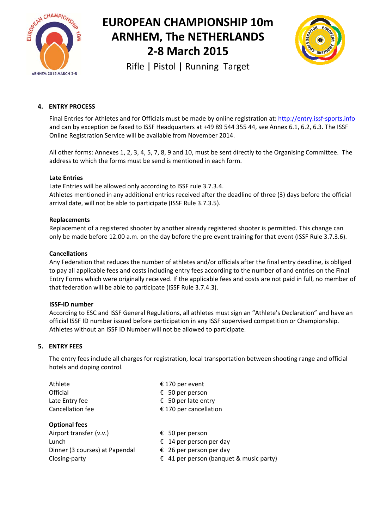



Rifle | Pistol | Running Target

# **4. ENTRY PROCESS**

Final Entries for Athletes and for Officials must be made by online registration at: http://entry.issf-sports.info and can by exception be faxed to ISSF Headquarters at +49 89 544 355 44, see Annex 6.1, 6.2, 6.3. The ISSF Online Registration Service will be available from November 2014.

All other forms: Annexes 1, 2, 3, 4, 5, 7, 8, 9 and 10, must be sent directly to the Organising Committee. The address to which the forms must be send is mentioned in each form.

#### **Late Entries**

Late Entries will be allowed only according to ISSF rule 3.7.3.4.

Athletes mentioned in any additional entries received after the deadline of three (3) days before the official arrival date, will not be able to participate (ISSF Rule 3.7.3.5).

#### **Replacements**

Replacement of a registered shooter by another already registered shooter is permitted. This change can only be made before 12.00 a.m. on the day before the pre event training for that event (ISSF Rule 3.7.3.6).

#### **Cancellations**

Any Federation that reduces the number of athletes and/or officials after the final entry deadline, is obliged to pay all applicable fees and costs including entry fees according to the number of and entries on the Final Entry Forms which were originally received. If the applicable fees and costs are not paid in full, no member of that federation will be able to participate (ISSF Rule 3.7.4.3).

#### **ISSF‐ID number**

According to ESC and ISSF General Regulations, all athletes must sign an "Athlete's Declaration" and have an official ISSF ID number issued before participation in any ISSF supervised competition or Championship. Athletes without an ISSF ID Number will not be allowed to participate.

#### **5. ENTRY FEES**

The entry fees include all charges for registration, local transportation between shooting range and official hotels and doping control.

| Athlete              | € 170 per event        |
|----------------------|------------------------|
| Official             | € 50 per person        |
| Late Entry fee       | € 50 per late entry    |
| Cancellation fee     | € 170 per cancellation |
| <b>Optional fees</b> |                        |

Airport transfer (v.v.)  $\epsilon$  50 per person Lunch  $\epsilon$  14 per person per day Dinner (3 courses) at Papendal  $\epsilon$  26 per person per day

- 
- 
- 
- Closing-party  $\epsilon$  41 per person (banquet & music party)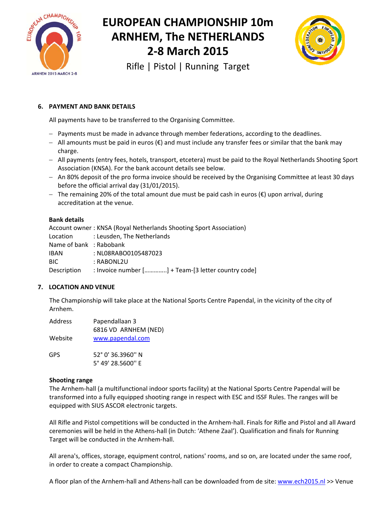



Rifle | Pistol | Running Target

# **6. PAYMENT AND BANK DETAILS**

All payments have to be transferred to the Organising Committee.

- Payments must be made in advance through member federations, according to the deadlines.
- All amounts must be paid in euros (€) and must include any transfer fees or similar that the bank may charge.
- All payments (entry fees, hotels, transport, etcetera) must be paid to the Royal Netherlands Shooting Sport Association (KNSA). For the bank account details see below.
- An 80% deposit of the pro forma invoice should be received by the Organising Committee at least 30 days before the official arrival day (31/01/2015).
- $-$  The remaining 20% of the total amount due must be paid cash in euros (€) upon arrival, during accreditation at the venue.

#### **Bank details**

|                         | Account owner: KNSA (Royal Netherlands Shooting Sport Association) |
|-------------------------|--------------------------------------------------------------------|
|                         | Location : Leusden, The Netherlands                                |
| Name of bank : Rabobank |                                                                    |
| <b>IBAN</b>             | : NL08RABO0105487023                                               |
| BIC.                    | : RABONL2U                                                         |
| Description             | : Invoice number [] + Team-[3 letter country code]                 |

### **7. LOCATION AND VENUE**

The Championship will take place at the National Sports Centre Papendal, in the vicinity of the city of Arnhem.

| <b>Address</b> | Papendallaan 3       |  |  |
|----------------|----------------------|--|--|
|                | 6816 VD ARNHEM (NED) |  |  |
| Website        | www.papendal.com     |  |  |
| GPS            | 52° 0' 36.3960" N    |  |  |

5° 49' 28.5600'' E

#### **Shooting range**

The Arnhem‐hall (a multifunctional indoor sports facility) at the National Sports Centre Papendal will be transformed into a fully equipped shooting range in respect with ESC and ISSF Rules. The ranges will be equipped with SIUS ASCOR electronic targets.

All Rifle and Pistol competitions will be conducted in the Arnhem‐hall. Finals for Rifle and Pistol and all Award ceremonies will be held in the Athens‐hall (in Dutch: 'Athene Zaal'). Qualification and finals for Running Target will be conducted in the Arnhem‐hall.

All arena's, offices, storage, equipment control, nations' rooms, and so on, are located under the same roof, in order to create a compact Championship.

A floor plan of the Arnhem‐hall and Athens‐hall can be downloaded from de site: www.ech2015.nl >> Venue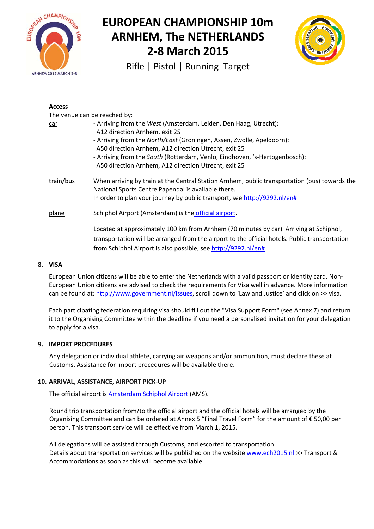



Rifle | Pistol | Running Target

| <b>Access</b>                |                                                                                                                                                                                                                                                                                                                                                                          |  |  |
|------------------------------|--------------------------------------------------------------------------------------------------------------------------------------------------------------------------------------------------------------------------------------------------------------------------------------------------------------------------------------------------------------------------|--|--|
| The venue can be reached by: |                                                                                                                                                                                                                                                                                                                                                                          |  |  |
| car                          | - Arriving from the West (Amsterdam, Leiden, Den Haag, Utrecht):<br>A12 direction Arnhem, exit 25<br>- Arriving from the North/East (Groningen, Assen, Zwolle, Apeldoorn):<br>A50 direction Arnhem, A12 direction Utrecht, exit 25<br>- Arriving from the South (Rotterdam, Venlo, Eindhoven, 's-Hertogenbosch):<br>A50 direction Arnhem, A12 direction Utrecht, exit 25 |  |  |
| train/bus                    | When arriving by train at the Central Station Arnhem, public transportation (bus) towards the<br>National Sports Centre Papendal is available there.<br>In order to plan your journey by public transport, see http://9292.nl/en#                                                                                                                                        |  |  |
| plane                        | Schiphol Airport (Amsterdam) is the official airport.                                                                                                                                                                                                                                                                                                                    |  |  |
|                              | Located at approximately 100 km from Arnhem (70 minutes by car). Arriving at Schiphol,<br>transportation will be arranged from the airport to the official hotels. Public transportation<br>from Schiphol Airport is also possible, see http://9292.nl/en#                                                                                                               |  |  |

#### **8. VISA**

European Union citizens will be able to enter the Netherlands with a valid passport or identity card. Non‐ European Union citizens are advised to check the requirements for Visa well in advance. More information can be found at: http://www.government.nl/issues, scroll down to 'Law and Justice' and click on >> visa.

Each participating federation requiring visa should fill out the "Visa Support Form" (see Annex 7) and return it to the Organising Committee within the deadline if you need a personalised invitation for your delegation to apply for a visa.

#### **9. IMPORT PROCEDURES**

Any delegation or individual athlete, carrying air weapons and/or ammunition, must declare these at Customs. Assistance for import procedures will be available there.

### **10. ARRIVAL, ASSISTANCE, AIRPORT PICK‐UP**

The official airport is **Amsterdam Schiphol Airport (AMS)**.

Round trip transportation from/to the official airport and the official hotels will be arranged by the Organising Committee and can be ordered at Annex 5 "Final Travel Form" for the amount of € 50,00 per person. This transport service will be effective from March 1, 2015.

All delegations will be assisted through Customs, and escorted to transportation. Details about transportation services will be published on the website www.ech2015.nl >> Transport & Accommodations as soon as this will become available.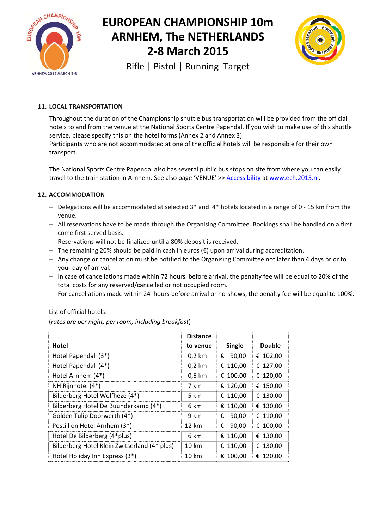



Rifle | Pistol | Running Target

# **11. LOCAL TRANSPORTATION**

Throughout the duration of the Championship shuttle bus transportation will be provided from the official hotels to and from the venue at the National Sports Centre Papendal. If you wish to make use of this shuttle service, please specify this on the hotel forms (Annex 2 and Annex 3). Participants who are not accommodated at one of the official hotels will be responsible for their own transport.

The National Sports Centre Papendal also has several public bus stops on site from where you can easily travel to the train station in Arnhem. See also page 'VENUE' >> Accessibility at www.ech.2015.nl.

### **12. ACCOMMODATION**

- $-$  Delegations will be accommodated at selected 3<sup>\*</sup> and 4<sup>\*</sup> hotels located in a range of 0 15 km from the venue.
- All reservations have to be made through the Organising Committee. Bookings shall be handled on a first come first served basis.
- Reservations will not be finalized until a 80% deposit is received.
- $-$  The remaining 20% should be paid in cash in euros (€) upon arrival during accreditation.
- Any change or cancellation must be notified to the Organising Committee not later than 4 days prior to your day of arrival.
- $-$  In case of cancellations made within 72 hours before arrival, the penalty fee will be equal to 20% of the total costs for any reserved/cancelled or not occupied room.
- For cancellations made within 24 hours before arrival or no-shows, the penalty fee will be equal to 100%.

#### List of official hotels:

(*rates are per night, per room, including breakfast*)

|                                              | <b>Distance</b> |            |               |
|----------------------------------------------|-----------------|------------|---------------|
| Hotel                                        | to venue        | Single     | <b>Double</b> |
| Hotel Papendal (3*)                          | $0,2$ km        | 90,00<br>€ | € 102,00      |
| Hotel Papendal (4*)                          | $0,2$ km        | € 110,00   | € 127,00      |
| Hotel Arnhem (4*)                            | $0,6$ km        | € 100,00   | € 120,00      |
| NH Rijnhotel (4*)                            | 7 km            | € 120,00   | € 150,00      |
| Bilderberg Hotel Wolfheze (4*)               | 5 km            | € 110,00   | € 130,00      |
| Bilderberg Hotel De Buunderkamp (4*)         | 6 km            | € 110,00   | € 130,00      |
| Golden Tulip Doorwerth (4*)                  | 9 km            | 90,00<br>€ | € 110,00      |
| Postillion Hotel Arnhem (3*)                 | 12 km           | 90,00<br>€ | € 100,00      |
| Hotel De Bilderberg (4*plus)                 | 6 km            | € 110,00   | € 130,00      |
| Bilderberg Hotel Klein Zwitserland (4* plus) | 10 km           | € 110,00   | € 130,00      |
| Hotel Holiday Inn Express (3*)               | 10 km           | € 100,00   | € 120,00      |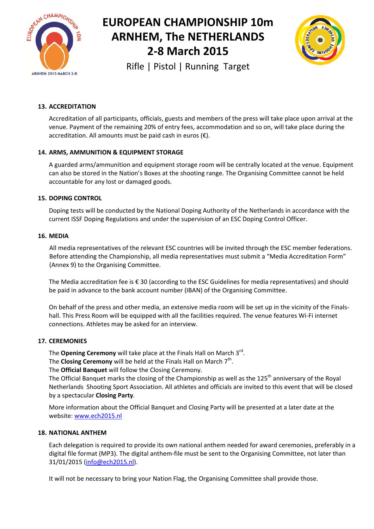



Rifle | Pistol | Running Target

# **13. ACCREDITATION**

Accreditation of all participants, officials, guests and members of the press will take place upon arrival at the venue. Payment of the remaining 20% of entry fees, accommodation and so on, will take place during the accreditation. All amounts must be paid cash in euros  $(\epsilon)$ .

#### **14. ARMS, AMMUNITION & EQUIPMENT STORAGE**

A guarded arms/ammunition and equipment storage room will be centrally located at the venue. Equipment can also be stored in the Nation's Boxes at the shooting range. The Organising Committee cannot be held accountable for any lost or damaged goods.

#### **15. DOPING CONTROL**

Doping tests will be conducted by the National Doping Authority of the Netherlands in accordance with the current ISSF Doping Regulations and under the supervision of an ESC Doping Control Officer.

#### **16. MEDIA**

All media representatives of the relevant ESC countries will be invited through the ESC member federations. Before attending the Championship, all media representatives must submit a "Media Accreditation Form" (Annex 9) to the Organising Committee.

The Media accreditation fee is € 30 (according to the ESC Guidelines for media representatives) and should be paid in advance to the bank account number (IBAN) of the Organising Committee.

On behalf of the press and other media, an extensive media room will be set up in the vicinity of the Finals‐ hall. This Press Room will be equipped with all the facilities required. The venue features Wi‐Fi internet connections. Athletes may be asked for an interview.

#### **17. CEREMONIES**

The **Opening Ceremony** will take place at the Finals Hall on March 3<sup>rd</sup>.

The **Closing Ceremony** will be held at the Finals Hall on March 7<sup>th</sup>.

The **Official Banquet** will follow the Closing Ceremony.

The Official Banquet marks the closing of the Championship as well as the 125<sup>th</sup> anniversary of the Royal Netherlands Shooting Sport Association. All athletes and officials are invited to this event that will be closed by a spectacular **Closing Party**.

More information about the Official Banquet and Closing Party will be presented at a later date at the website: www.ech2015.nl

#### **18. NATIONAL ANTHEM**

Each delegation is required to provide its own national anthem needed for award ceremonies, preferably in a digital file format (MP3). The digital anthem-file must be sent to the Organising Committee, not later than 31/01/2015 (info@ech2015.nl).

It will not be necessary to bring your Nation Flag, the Organising Committee shall provide those.